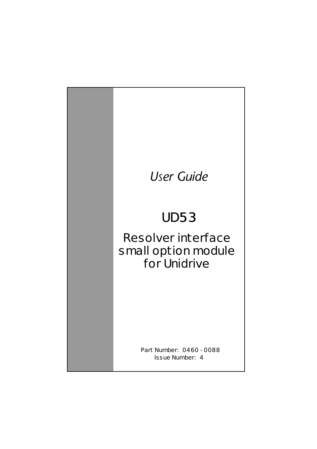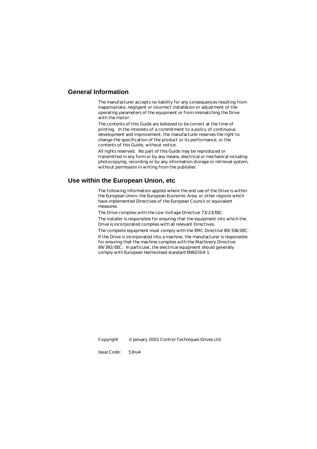## **General Information**

The manufacturer accepts no liability for any consequences resulting from inappropriate, negligent or incorrect installation or adjustment of the operating parameters of the equipment or from mismatching the Drive with the motor.

The contents of this Guide are believed to be correct at the time of printing. In the interests of a commitment to a policy of continuous development and improvement, the manufacturer reserves the right to change the specification of the product or its performance, or the contents of this Guide, without notice.

All rights reserved. No part of this Guide may be reproduced or transmitted in any form or by any means, electrical or mechanical including photocopying, recording or by any information storage or retrieval system, without permission in writing from the publisher.

#### **Use within the European Union, etc**

The following information applies where the end use of the Drive is within the European Union, the European Economic Area, or other regions which have implemented Directives of the European Council or equivalent measures.

The Drive complies with the Low Voltage Directive 73/23/EEC.

The installer is responsible for ensuring that the equipment into which the Drive is incorporated complies with all relevant Directives.

The complete equipment must comply with the EMC Directive 89/336/EEC.

If the Drive is incorporated into a machine, the manufacturer is responsible for ensuring that the machine complies with the Machinery Directive 89/392/EEC. In particular, the electrical equipment should generally comply with European Harmonised standard EN60204-1.

Copyright © January 2002 Control Techniques Drives Ltd

Issue Code: 53nu4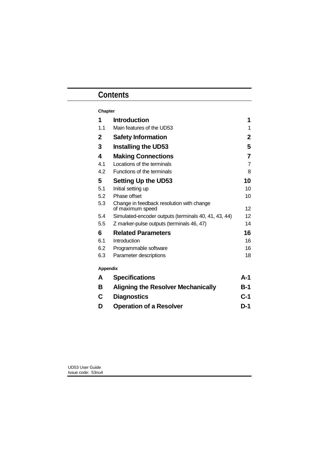# **Contents**

| Chapter |                                                               |    |
|---------|---------------------------------------------------------------|----|
| 1       | <b>Introduction</b>                                           | 1  |
| 1.1     | Main features of the UD53                                     | 1  |
| 2       | <b>Safety Information</b>                                     | 2  |
| 3       | <b>Installing the UD53</b>                                    | 5  |
| 4       | <b>Making Connections</b>                                     | 7  |
| 4.1     | Locations of the terminals                                    | 7  |
| 4.2     | Functions of the terminals                                    | 8  |
| 5       | <b>Setting Up the UD53</b>                                    | 10 |
| 5.1     | Initial setting up                                            | 10 |
| 5.2     | Phase offset                                                  | 10 |
| 5.3     | Change in feedback resolution with change<br>of maximum speed | 12 |
| 5.4     | Simulated-encoder outputs (terminals 40, 41, 43, 44)          | 12 |
| 5.5     | Z marker-pulse outputs (terminals 46, 47)                     | 14 |
| 6       | <b>Related Parameters</b>                                     | 16 |
| 6.1     | Introduction                                                  | 16 |
| 6.2     | Programmable software                                         | 16 |
| 6.3     | Parameter descriptions                                        | 18 |

# **Appendix**

| Α   | <b>Specifications</b>                     | A-1        |
|-----|-------------------------------------------|------------|
| В   | <b>Aligning the Resolver Mechanically</b> | <b>B-1</b> |
| C . | <b>Diagnostics</b>                        | $C-1$      |
| D   | <b>Operation of a Resolver</b>            | D-1        |
|     |                                           |            |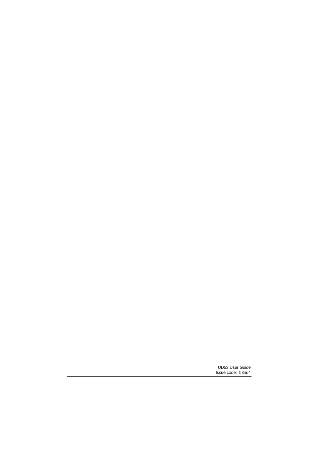UD53 User Guide Issue code: 53nu4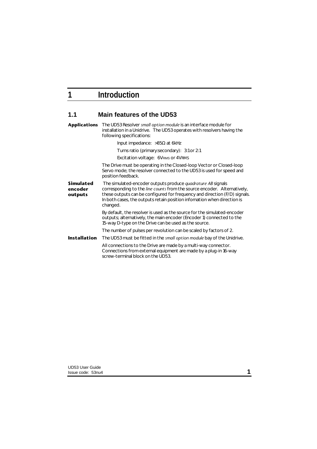# **1 Introduction**

## **1.1 Main features of the UD53**

| <b>Applications</b> The UD53 Resolver <i>small option module</i> is an interface module for |
|---------------------------------------------------------------------------------------------|
| installation in a Unidrive. The UD53 operates with resolvers having the                     |
| following specifications:                                                                   |

Input impedance: >85Ω at 6kHz

Turns ratio (primary:secondary): 3:1 or 2:1

Excitation voltage: 6VRMS or 4VRMS

The Drive must be operating in the Closed-loop Vector or Closed-loop Servo mode; the resolver connected to the UD53 is used for speed and position feedback.

**Simulated encoder outputs** The simulated-encoder outputs produce *quadrature AB* signals corresponding to the *line counts* from the source encoder. Alternatively, these outputs can be configured for frequency and direction (F/D) signals. In both cases, the outputs retain position infomation when direction is changed.

> By default, the resolver is used as the source for the simulated-encoder outputs; alternatively, the main encoder (Encoder 1) connected to the 15-way D-type on the Drive can be used as the source.

The number of pulses per revolution can be scaled by factors of 2.

**Installation** The UD53 must be fitted in the *small option module* bay of the Unidrive.

All connections to the Drive are made by a multi-way connector. Connections from external equipment are made by a plug-in 16-way screw-terminal block on the UD53.